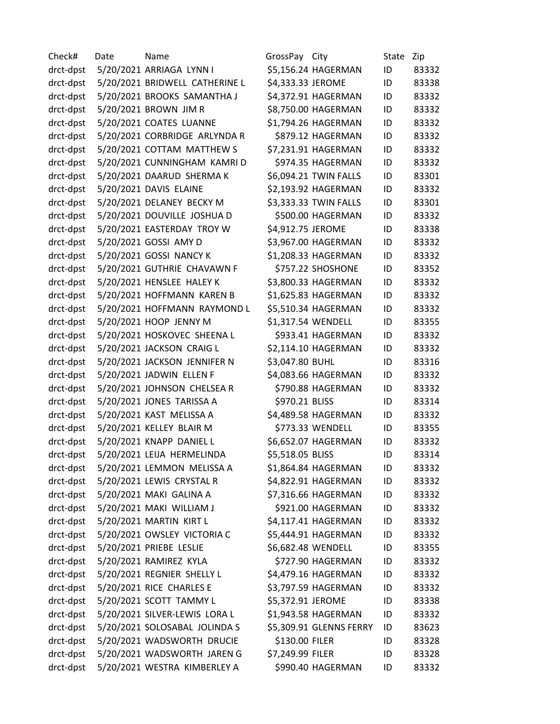Check# Date Name GrossPay City State Zip drct-dpst 5/20/2021 ARRIAGA LYNN I \$5,156.24 HAGERMAN ID 83332 drct-dpst 5/20/2021 BRIDWELL CATHERINE L \$4,333.33 JEROME ID 83338 drct-dpst 5/20/2021 BROOKS SAMANTHA J \$4,372.91 HAGERMAN ID 83332 drct-dpst 5/20/2021 BROWN JIM R \$8,750.00 HAGERMAN ID 83332 drct-dpst 5/20/2021 COATES LUANNE \$1,794.26 HAGERMAN ID 83332 drct-dpst 5/20/2021 CORBRIDGE ARLYNDA R \$879.12 HAGERMAN ID 83332 drct-dpst 5/20/2021 COTTAM MATTHEW S \$7,231.91 HAGERMAN ID 83332 drct-dpst 5/20/2021 CUNNINGHAM KAMRI D \$974.35 HAGERMAN ID 83332 drct-dpst 5/20/2021 DAARUD SHERMA K \$6,094.21 TWIN FALLS ID 83301 drct-dpst 5/20/2021 DAVIS ELAINE \$2,193.92 HAGERMAN ID 83332 drct-dpst 5/20/2021 DELANEY BECKY M \$3,333.33 TWIN FALLS ID 83301 drct-dpst 5/20/2021 DOUVILLE JOSHUA D \$500.00 HAGERMAN ID 83332 drct-dpst 5/20/2021 EASTERDAY TROY W \$4,912.75 JEROME ID 83338 drct-dpst 5/20/2021 GOSSI AMY D \$3,967.00 HAGERMAN ID 83332 drct-dpst 5/20/2021 GOSSI NANCY K \$1,208.33 HAGERMAN ID 83332 drct-dpst 5/20/2021 GUTHRIE CHAVAWN F \$757.22 SHOSHONE ID 83352 drct-dpst 5/20/2021 HENSLEE HALEY K \$3,800.33 HAGERMAN ID 83332 drct-dpst 5/20/2021 HOFFMANN KAREN B \$1,625.83 HAGERMAN ID 83332 drct-dpst 5/20/2021 HOFFMANN RAYMOND L \$5,510.34 HAGERMAN ID 83332 drct-dpst 5/20/2021 HOOP JENNY M \$1,317.54 WENDELL ID 83355 drct-dpst 5/20/2021 HOSKOVEC SHEENA L \$933.41 HAGERMAN ID 83332 drct-dpst 5/20/2021 JACKSON CRAIG L \$2,114.10 HAGERMAN ID 83332 drct-dpst 5/20/2021 JACKSON JENNIFER N \$3,047.80 BUHL ID 83316 drct-dpst 5/20/2021 JADWIN ELLEN F \$4,083.66 HAGERMAN ID 83332 drct-dpst 5/20/2021 JOHNSON CHELSEA R \$790.88 HAGERMAN ID 83332 drct-dpst 5/20/2021 JONES TARISSA A \$970.21 BLISS ID 83314 drct-dpst 5/20/2021 KAST MELISSA A \$4,489.58 HAGERMAN ID 83332 drct-dpst 5/20/2021 KELLEY BLAIR M \$773.33 WENDELL ID 83355 drct-dpst 5/20/2021 KNAPP DANIEL L \$6,652.07 HAGERMAN ID 83332 drct-dpst 5/20/2021 LEIJA HERMELINDA \$5,518.05 BLISS ID 83314 drct-dpst 5/20/2021 LEMMON MELISSA A \$1,864.84 HAGERMAN ID 83332 drct-dpst 5/20/2021 LEWIS CRYSTAL R \$4,822.91 HAGERMAN ID 83332 drct-dpst 5/20/2021 MAKI GALINA A \$7,316.66 HAGERMAN ID 83332 drct-dpst 5/20/2021 MAKI WILLIAM J \$921.00 HAGERMAN ID 83332 drct-dpst 5/20/2021 MARTIN KIRT L \$4,117.41 HAGERMAN ID 83332 drct-dpst 5/20/2021 OWSLEY VICTORIA C \$5,444.91 HAGERMAN ID 83332 drct-dpst 5/20/2021 PRIEBE LESLIE \$6,682.48 WENDELL ID 83355 drct-dpst 5/20/2021 RAMIREZ KYLA \$727.90 HAGERMAN ID 83332 drct-dpst 5/20/2021 REGNIER SHELLY L \$4,479.16 HAGERMAN ID 83332 drct-dpst 5/20/2021 RICE CHARLES E \$3,797.59 HAGERMAN ID 83332 drct-dpst 5/20/2021 SCOTT TAMMY L \$5,372.91 JEROME ID 83338 drct-dpst 5/20/2021 SILVER-LEWIS LORA L \$1,943.58 HAGERMAN ID 83332 drct-dpst 5/20/2021 SOLOSABAL JOLINDA S \$5,309.91 GLENNS FERRY ID 83623 drct-dpst 5/20/2021 WADSWORTH DRUCIE \$130.00 FILER ID 83328 drct-dpst 5/20/2021 WADSWORTH JAREN G \$7,249.99 FILER ID 83328 drct-dpst 5/20/2021 WESTRA KIMBERLEY A \$990.40 HAGERMAN ID 83332